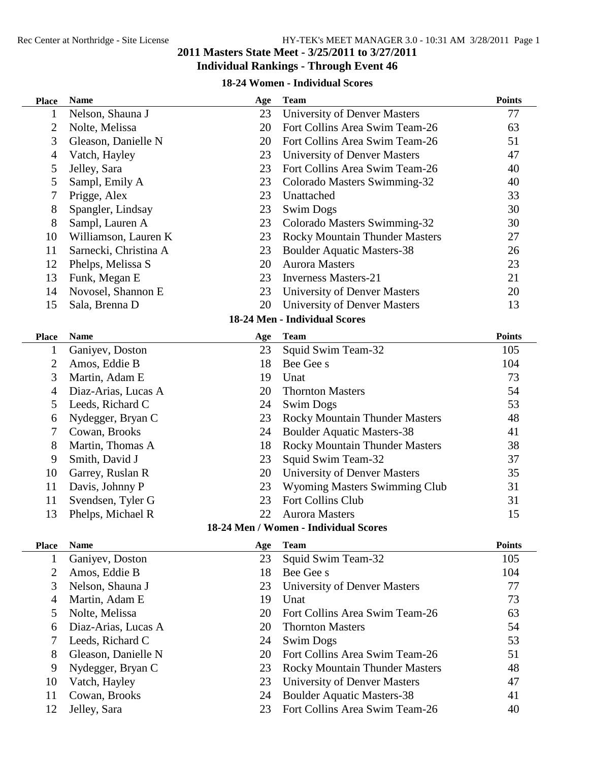#### Rec Center at Northridge - Site License HY-TEK's MEET MANAGER 3.0 - 10:31 AM 3/28/2011 Page 1 **Masters State Meet - 3/25/2011 to 3/27/2011 Individual Rankings - Through Event 46**

#### **18-24 Women - Individual Scores**

| <b>Place</b> | <b>Name</b>           | Age | <b>Team</b>                           | <b>Points</b> |
|--------------|-----------------------|-----|---------------------------------------|---------------|
| 1            | Nelson, Shauna J      | 23  | <b>University of Denver Masters</b>   | 77            |
| 2            | Nolte, Melissa        | 20  | Fort Collins Area Swim Team-26        | 63            |
| 3            | Gleason, Danielle N   | 20  | Fort Collins Area Swim Team-26        | 51            |
| 4            | Vatch, Hayley         | 23  | University of Denver Masters          | 47            |
| 5            | Jelley, Sara          | 23  | Fort Collins Area Swim Team-26        | 40            |
| 5            | Sampl, Emily A        | 23  | Colorado Masters Swimming-32          | 40            |
| 7            | Prigge, Alex          | 23  | Unattached                            | 33            |
| 8            | Spangler, Lindsay     | 23  | <b>Swim Dogs</b>                      | 30            |
| 8            | Sampl, Lauren A       | 23  | Colorado Masters Swimming-32          | 30            |
| 10           | Williamson, Lauren K  | 23  | <b>Rocky Mountain Thunder Masters</b> | 27            |
| 11           | Sarnecki, Christina A | 23  | <b>Boulder Aquatic Masters-38</b>     | 26            |
| 12           | Phelps, Melissa S     | 20  | <b>Aurora Masters</b>                 | 23            |
| 13           | Funk, Megan E         | 23  | <b>Inverness Masters-21</b>           | 21            |
| 14           | Novosel, Shannon E    | 23  | <b>University of Denver Masters</b>   | 20            |
| 15           | Sala, Brenna D        | 20  | <b>University of Denver Masters</b>   | 13            |
|              |                       |     | 18-24 Men - Individual Scores         |               |
| <b>Place</b> | <b>Name</b>           | Age | <b>Team</b>                           | <b>Points</b> |
| 1            | Ganiyev, Doston       | 23  | Squid Swim Team-32                    | 105           |
| 2            | Amos, Eddie B         | 18  | Bee Gee s                             | 104           |
| 3            | Martin, Adam E        | 19  | Unat                                  | 73            |
| 4            | Diaz-Arias, Lucas A   | 20  | <b>Thornton Masters</b>               | 54            |
| 5            | Leeds, Richard C      | 24  | <b>Swim Dogs</b>                      | 53            |
| 6            | Nydegger, Bryan C     | 23  | <b>Rocky Mountain Thunder Masters</b> | 48            |
| 7            | Cowan, Brooks         | 24  | <b>Boulder Aquatic Masters-38</b>     | 41            |
| 8            | Martin, Thomas A      | 18  | <b>Rocky Mountain Thunder Masters</b> | 38            |
| 9            | Smith, David J        | 23  | Squid Swim Team-32                    | 37            |
| 10           | Garrey, Ruslan R      | 20  | <b>University of Denver Masters</b>   | 35            |
| 11           | Davis, Johnny P       | 23  | <b>Wyoming Masters Swimming Club</b>  | 31            |
| 11           | Svendsen, Tyler G     | 23  | Fort Collins Club                     | 31            |
| 13           | Phelps, Michael R     | 22  | <b>Aurora Masters</b>                 | 15            |
|              |                       |     | 18-24 Men / Women - Individual Scores |               |
| <b>Place</b> | <b>Name</b>           | Age | <b>Team</b>                           | <b>Points</b> |
| 1            | Ganiyev, Doston       | 23  | Squid Swim Team-32                    | 105           |
| 2            | Amos, Eddie B         | 18  | Bee Gee s                             | 104           |
| 3            | Nelson, Shauna J      | 23  | <b>University of Denver Masters</b>   | 77            |
| 4            | Martin, Adam E        | 19  | Unat                                  | 73            |
| 5            | Nolte, Melissa        | 20  | Fort Collins Area Swim Team-26        | 63            |
| 6            | Diaz-Arias, Lucas A   | 20  | <b>Thornton Masters</b>               | 54            |
| 7            | Leeds, Richard C      | 24  | <b>Swim Dogs</b>                      | 53            |
| 8            | Gleason, Danielle N   | 20  | Fort Collins Area Swim Team-26        | 51            |
| 9            | Nydegger, Bryan C     | 23  | <b>Rocky Mountain Thunder Masters</b> | 48            |
| 10           | Vatch, Hayley         | 23  | <b>University of Denver Masters</b>   | 47            |
| 11           | Cowan, Brooks         | 24  | <b>Boulder Aquatic Masters-38</b>     | 41            |
| 12           | Jelley, Sara          | 23  | Fort Collins Area Swim Team-26        | 40            |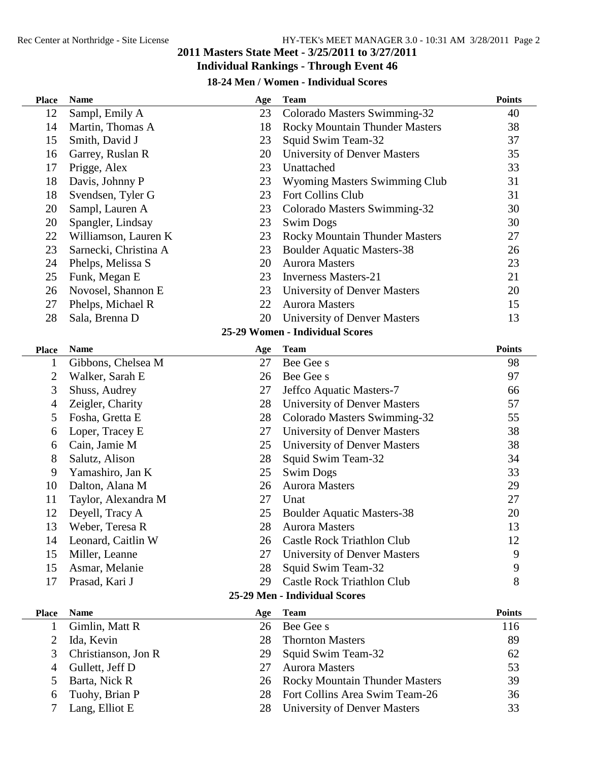## **Individual Rankings - Through Event 46**

### **18-24 Men / Women - Individual Scores**

| <b>Place</b>   | <b>Name</b>           | Age | <b>Team</b>                           | <b>Points</b> |
|----------------|-----------------------|-----|---------------------------------------|---------------|
| 12             | Sampl, Emily A        | 23  | Colorado Masters Swimming-32          | 40            |
| 14             | Martin, Thomas A      | 18  | <b>Rocky Mountain Thunder Masters</b> | 38            |
| 15             | Smith, David J        | 23  | Squid Swim Team-32                    | 37            |
| 16             | Garrey, Ruslan R      | 20  | <b>University of Denver Masters</b>   | 35            |
| 17             | Prigge, Alex          | 23  | Unattached                            | 33            |
| 18             | Davis, Johnny P       | 23  | Wyoming Masters Swimming Club         | 31            |
| 18             | Svendsen, Tyler G     | 23  | Fort Collins Club                     | 31            |
| 20             | Sampl, Lauren A       | 23  | Colorado Masters Swimming-32          | 30            |
| 20             | Spangler, Lindsay     | 23  | <b>Swim Dogs</b>                      | 30            |
| 22             | Williamson, Lauren K  | 23  | <b>Rocky Mountain Thunder Masters</b> | 27            |
| 23             | Sarnecki, Christina A | 23  | <b>Boulder Aquatic Masters-38</b>     | 26            |
| 24             | Phelps, Melissa S     | 20  | <b>Aurora Masters</b>                 | 23            |
| 25             | Funk, Megan E         | 23  | <b>Inverness Masters-21</b>           | 21            |
| 26             | Novosel, Shannon E    | 23  | University of Denver Masters          | 20            |
| 27             | Phelps, Michael R     | 22  | <b>Aurora Masters</b>                 | 15            |
| 28             | Sala, Brenna D        | 20  | <b>University of Denver Masters</b>   | 13            |
|                |                       |     | 25-29 Women - Individual Scores       |               |
| <b>Place</b>   | <b>Name</b>           | Age | <b>Team</b>                           | <b>Points</b> |
| $\mathbf 1$    | Gibbons, Chelsea M    | 27  | Bee Gee s                             | 98            |
| $\overline{2}$ | Walker, Sarah E       | 26  | Bee Gee s                             | 97            |
| 3              | Shuss, Audrey         | 27  | Jeffco Aquatic Masters-7              | 66            |
| 4              | Zeigler, Charity      | 28  | <b>University of Denver Masters</b>   | 57            |
| 5              | Fosha, Gretta E       | 28  | Colorado Masters Swimming-32          | 55            |
| 6              | Loper, Tracey E       | 27  | <b>University of Denver Masters</b>   | 38            |
| 6              | Cain, Jamie M         | 25  | <b>University of Denver Masters</b>   | 38            |
| 8              | Salutz, Alison        | 28  | Squid Swim Team-32                    | 34            |
| 9              | Yamashiro, Jan K      | 25  | <b>Swim Dogs</b>                      | 33            |
| 10             | Dalton, Alana M       | 26  | <b>Aurora Masters</b>                 | 29            |
| 11             | Taylor, Alexandra M   | 27  | Unat                                  | 27            |
| 12             | Deyell, Tracy A       | 25  | <b>Boulder Aquatic Masters-38</b>     | 20            |
| 13             | Weber, Teresa R       | 28  | <b>Aurora Masters</b>                 | 13            |
| 14             | Leonard, Caitlin W    | 26  | <b>Castle Rock Triathlon Club</b>     | 12            |
| 15             | Miller, Leanne        | 27  | University of Denver Masters          | 9             |
| 15             | Asmar, Melanie        | 28  | Squid Swim Team-32                    | 9             |
| 17             | Prasad, Kari J        | 29  | <b>Castle Rock Triathlon Club</b>     | 8             |
|                |                       |     | 25-29 Men - Individual Scores         |               |
| <b>Place</b>   | <b>Name</b>           | Age | <b>Team</b>                           | <b>Points</b> |
| $\mathbf 1$    | Gimlin, Matt R        | 26  | Bee Gee s                             | 116           |
| 2              | Ida, Kevin            | 28  | <b>Thornton Masters</b>               | 89            |
| 3              | Christianson, Jon R   | 29  | Squid Swim Team-32                    | 62            |
| 4              | Gullett, Jeff D       | 27  | <b>Aurora Masters</b>                 | 53            |
| 5              | Barta, Nick R         | 26  | <b>Rocky Mountain Thunder Masters</b> | 39            |
| 6              | Tuohy, Brian P        | 28  | Fort Collins Area Swim Team-26        | 36            |
| 7              | Lang, Elliot E        | 28  | <b>University of Denver Masters</b>   | 33            |
|                |                       |     |                                       |               |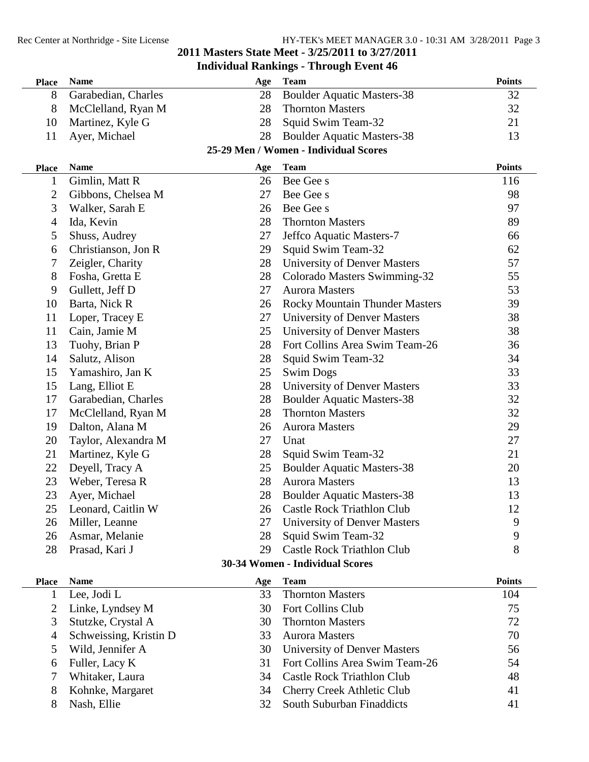# **Masters State Meet - 3/25/2011 to 3/27/2011**

### **Individual Rankings - Through Event 46**

| <b>Place</b>   | <b>Name</b>            | Age | <b>Team</b>                           | <b>Points</b> |
|----------------|------------------------|-----|---------------------------------------|---------------|
| 8              | Garabedian, Charles    | 28  | <b>Boulder Aquatic Masters-38</b>     | 32            |
| 8              | McClelland, Ryan M     | 28  | <b>Thornton Masters</b>               | 32            |
| 10             | Martinez, Kyle G       | 28  | Squid Swim Team-32                    | 21            |
| 11             | Ayer, Michael          | 28  | <b>Boulder Aquatic Masters-38</b>     | 13            |
|                |                        |     | 25-29 Men / Women - Individual Scores |               |
| <b>Place</b>   | <b>Name</b>            | Age | <b>Team</b>                           | <b>Points</b> |
| 1              | Gimlin, Matt R         | 26  | Bee Gee s                             | 116           |
| 2              | Gibbons, Chelsea M     | 27  | Bee Gee s                             | 98            |
| 3              | Walker, Sarah E        | 26  | Bee Gee s                             | 97            |
| $\overline{4}$ | Ida, Kevin             | 28  | <b>Thornton Masters</b>               | 89            |
| 5              | Shuss, Audrey          | 27  | Jeffco Aquatic Masters-7              | 66            |
| 6              | Christianson, Jon R    | 29  | Squid Swim Team-32                    | 62            |
| 7              | Zeigler, Charity       | 28  | <b>University of Denver Masters</b>   | 57            |
| 8              | Fosha, Gretta E        | 28  | Colorado Masters Swimming-32          | 55            |
| 9              | Gullett, Jeff D        | 27  | <b>Aurora Masters</b>                 | 53            |
| 10             | Barta, Nick R          | 26  | <b>Rocky Mountain Thunder Masters</b> | 39            |
| 11             | Loper, Tracey E        | 27  | University of Denver Masters          | 38            |
| 11             | Cain, Jamie M          | 25  | University of Denver Masters          | 38            |
| 13             | Tuohy, Brian P         | 28  | Fort Collins Area Swim Team-26        | 36            |
| 14             | Salutz, Alison         | 28  | Squid Swim Team-32                    | 34            |
| 15             | Yamashiro, Jan K       | 25  | <b>Swim Dogs</b>                      | 33            |
| 15             | Lang, Elliot E         | 28  | <b>University of Denver Masters</b>   | 33            |
| 17             | Garabedian, Charles    | 28  | <b>Boulder Aquatic Masters-38</b>     | 32            |
| 17             | McClelland, Ryan M     | 28  | <b>Thornton Masters</b>               | 32            |
| 19             | Dalton, Alana M        | 26  | <b>Aurora Masters</b>                 | 29            |
| 20             | Taylor, Alexandra M    | 27  | Unat                                  | 27            |
| 21             | Martinez, Kyle G       | 28  | Squid Swim Team-32                    | 21            |
| 22             | Deyell, Tracy A        | 25  | <b>Boulder Aquatic Masters-38</b>     | 20            |
| 23             | Weber, Teresa R        | 28  | <b>Aurora Masters</b>                 | 13            |
| 23             | Ayer, Michael          | 28  | <b>Boulder Aquatic Masters-38</b>     | 13            |
| 25             | Leonard, Caitlin W     | 26  | Castle Rock Triathlon Club            | 12            |
| 26             | Miller, Leanne         | 27  | <b>University of Denver Masters</b>   | 9             |
| 26             | Asmar, Melanie         | 28  | Squid Swim Team-32                    | 9             |
| 28             | Prasad, Kari J         | 29  | <b>Castle Rock Triathlon Club</b>     | 8             |
|                |                        |     | 30-34 Women - Individual Scores       |               |
| <b>Place</b>   | <b>Name</b>            | Age | <b>Team</b>                           | <b>Points</b> |
| 1              | Lee, Jodi L            | 33  | <b>Thornton Masters</b>               | 104           |
| 2              | Linke, Lyndsey M       | 30  | <b>Fort Collins Club</b>              | 75            |
| 3              | Stutzke, Crystal A     | 30  | <b>Thornton Masters</b>               | 72            |
| $\overline{4}$ | Schweissing, Kristin D | 33  | <b>Aurora Masters</b>                 | 70            |
| 5              | Wild, Jennifer A       | 30  | University of Denver Masters          | 56            |
| 6              | Fuller, Lacy K         | 31  | Fort Collins Area Swim Team-26        | 54            |
| 7              | Whitaker, Laura        | 34  | <b>Castle Rock Triathlon Club</b>     | 48            |
| 8              | Kohnke, Margaret       | 34  | <b>Cherry Creek Athletic Club</b>     | 41            |
| 8              | Nash, Ellie            | 32  | South Suburban Finaddicts             | 41            |
|                |                        |     |                                       |               |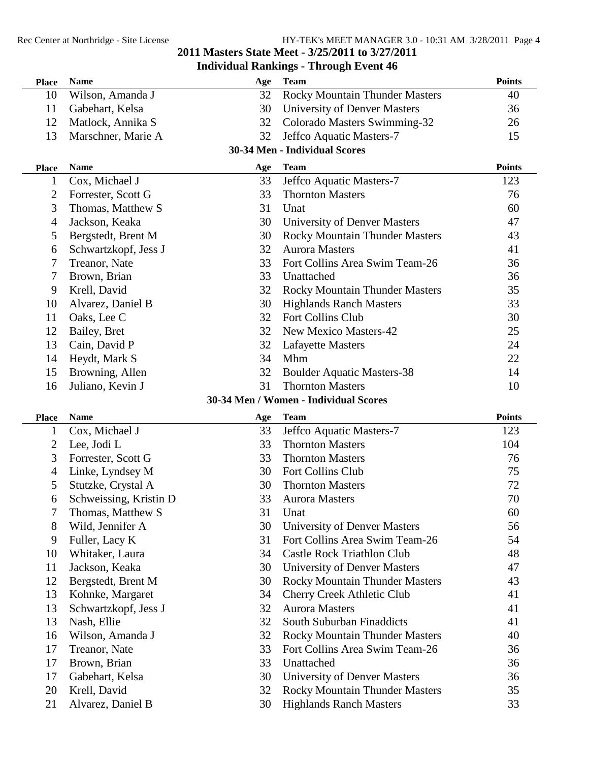| <b>Place</b>                          | <b>Name</b>                       | Age | <b>Team</b>                                                             | <b>Points</b> |  |  |
|---------------------------------------|-----------------------------------|-----|-------------------------------------------------------------------------|---------------|--|--|
| 10                                    | Wilson, Amanda J                  | 32  | <b>Rocky Mountain Thunder Masters</b>                                   | 40            |  |  |
| 11                                    | Gabehart, Kelsa                   | 30  | University of Denver Masters                                            | 36            |  |  |
| 12                                    | Matlock, Annika S                 | 32  | Colorado Masters Swimming-32                                            | 26            |  |  |
| 13                                    | Marschner, Marie A                | 32  | Jeffco Aquatic Masters-7                                                | 15            |  |  |
|                                       |                                   |     | 30-34 Men - Individual Scores                                           |               |  |  |
| <b>Place</b>                          | <b>Name</b>                       | Age | <b>Team</b>                                                             | <b>Points</b> |  |  |
| 1                                     | Cox, Michael J                    | 33  | Jeffco Aquatic Masters-7                                                | 123           |  |  |
| 2                                     | Forrester, Scott G                | 33  | <b>Thornton Masters</b>                                                 | 76            |  |  |
| 3                                     | Thomas, Matthew S                 | 31  | Unat                                                                    | 60            |  |  |
| 4                                     | Jackson, Keaka                    | 30  | <b>University of Denver Masters</b>                                     | 47            |  |  |
| 5                                     | Bergstedt, Brent M                | 30  | <b>Rocky Mountain Thunder Masters</b>                                   | 43            |  |  |
| 6                                     | Schwartzkopf, Jess J              | 32  | <b>Aurora Masters</b>                                                   | 41            |  |  |
| 7                                     | Treanor, Nate                     | 33  | Fort Collins Area Swim Team-26                                          | 36            |  |  |
| 7                                     | Brown, Brian                      | 33  | Unattached                                                              | 36            |  |  |
| 9                                     | Krell, David                      | 32  | <b>Rocky Mountain Thunder Masters</b>                                   | 35            |  |  |
| 10                                    | Alvarez, Daniel B                 | 30  | <b>Highlands Ranch Masters</b>                                          | 33            |  |  |
| 11                                    | Oaks, Lee C                       | 32  | Fort Collins Club                                                       | 30            |  |  |
| 12                                    | Bailey, Bret                      | 32  | New Mexico Masters-42                                                   | 25            |  |  |
| 13                                    | Cain, David P                     | 32  | <b>Lafayette Masters</b>                                                | 24            |  |  |
| 14                                    | Heydt, Mark S                     | 34  | Mhm                                                                     | 22            |  |  |
| 15                                    | Browning, Allen                   | 32  | <b>Boulder Aquatic Masters-38</b>                                       | 14            |  |  |
| 16                                    | Juliano, Kevin J                  | 31  | <b>Thornton Masters</b>                                                 | 10            |  |  |
| 30-34 Men / Women - Individual Scores |                                   |     |                                                                         |               |  |  |
|                                       |                                   |     |                                                                         |               |  |  |
| <b>Place</b>                          | <b>Name</b>                       | Age | <b>Team</b>                                                             | <b>Points</b> |  |  |
| $\mathbf{1}$                          | Cox, Michael J                    | 33  | Jeffco Aquatic Masters-7                                                | 123           |  |  |
| 2                                     | Lee, Jodi L                       | 33  | <b>Thornton Masters</b>                                                 | 104           |  |  |
| 3                                     | Forrester, Scott G                | 33  | <b>Thornton Masters</b>                                                 | 76            |  |  |
| 4                                     | Linke, Lyndsey M                  | 30  | Fort Collins Club                                                       | 75            |  |  |
| 5                                     | Stutzke, Crystal A                | 30  | <b>Thornton Masters</b>                                                 | 72            |  |  |
| 6                                     | Schweissing, Kristin D            | 33  | <b>Aurora Masters</b>                                                   | 70            |  |  |
| 7                                     | Thomas, Matthew S                 | 31  | Unat                                                                    | 60            |  |  |
| 8                                     | Wild, Jennifer A                  | 30  | <b>University of Denver Masters</b>                                     | 56            |  |  |
| 9                                     | Fuller, Lacy K                    | 31  | Fort Collins Area Swim Team-26                                          | 54            |  |  |
| 10                                    | Whitaker, Laura                   | 34  | <b>Castle Rock Triathlon Club</b>                                       | 48            |  |  |
| 11                                    | Jackson, Keaka                    | 30  | <b>University of Denver Masters</b>                                     | 47            |  |  |
| 12                                    | Bergstedt, Brent M                | 30  | <b>Rocky Mountain Thunder Masters</b>                                   | 43            |  |  |
| 13                                    | Kohnke, Margaret                  | 34  | <b>Cherry Creek Athletic Club</b>                                       | 41            |  |  |
| 13                                    | Schwartzkopf, Jess J              | 32  | <b>Aurora Masters</b>                                                   | 41            |  |  |
| 13                                    | Nash, Ellie                       | 32  | South Suburban Finaddicts                                               | 41            |  |  |
| 16                                    | Wilson, Amanda J                  | 32  | <b>Rocky Mountain Thunder Masters</b>                                   | 40            |  |  |
| 17                                    | Treanor, Nate                     | 33  | Fort Collins Area Swim Team-26                                          | 36            |  |  |
| 17                                    | Brown, Brian                      | 33  | Unattached                                                              | 36            |  |  |
| 17                                    | Gabehart, Kelsa                   | 30  | <b>University of Denver Masters</b>                                     | 36            |  |  |
| 20<br>21                              | Krell, David<br>Alvarez, Daniel B | 32  | <b>Rocky Mountain Thunder Masters</b><br><b>Highlands Ranch Masters</b> | 35<br>33      |  |  |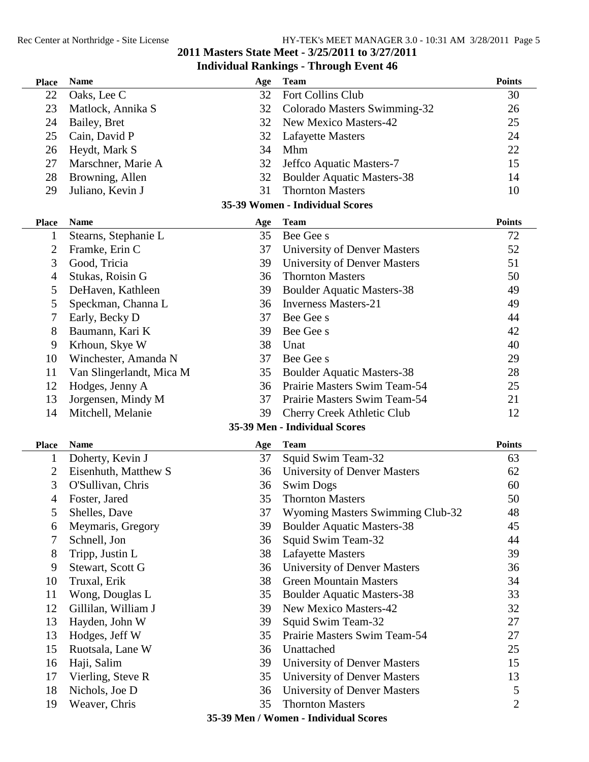#### **Place Name Age Team Points** 22 Oaks, Lee C 32 Fort Collins Club 30 23 Matlock, Annika S 32 Colorado Masters Swimming-32 26 24 Bailey, Bret 32 New Mexico Masters-42 25 25 Cain, David P 32 Lafayette Masters 24 26 Heydt, Mark S 34 Mhm 22 27 Marschner, Marie A 32 Jeffco Aquatic Masters-7 15 28 Browning, Allen 32 Boulder Aquatic Masters-38 14 29 Juliano, Kevin J 31 Thornton Masters 10 **35-39 Women - Individual Scores Place Name Age Team Points** 1 Stearns, Stephanie L 35 Bee Gee s 72 2 Framke, Erin C 37 University of Denver Masters 52 3 Good, Tricia 39 University of Denver Masters 51 4 Stukas, Roisin G 36 Thornton Masters 50 5 DeHaven, Kathleen 39 Boulder Aquatic Masters-38 49 5 Speckman, Channa L 36 Inverness Masters-21 49 7 Early, Becky D 37 Bee Gee s 44 8 Baumann, Kari K 39 Bee Gee s 42 9 Krhoun, Skye W 38 Unat 40 10 Winchester, Amanda N 37 Bee Gee s 29 11 Van Slingerlandt, Mica M 35 Boulder Aquatic Masters-38 28 12 Hodges, Jenny A 36 Prairie Masters Swim Team-54 25 13 Jorgensen, Mindy M 37 Prairie Masters Swim Team-54 21 14 Mitchell, Melanie 39 Cherry Creek Athletic Club 12 **35-39 Men - Individual Scores Place Name Age Team Points** 1 Doherty, Kevin J 37 Squid Swim Team-32 63 2 Eisenhuth, Matthew S 36 University of Denver Masters 62 3 O'Sullivan, Chris 36 Swim Dogs 60 4 Foster, Jared 35 Thornton Masters 50 5 Shelles, Dave 37 Wyoming Masters Swimming Club-32 48 6 Meymaris, Gregory 39 Boulder Aquatic Masters-38 45 7 Schnell, Jon 36 Squid Swim Team-32 44 8 Tripp, Justin L 38 Lafayette Masters 39 9 Stewart, Scott G 36 University of Denver Masters 36 10 Truxal, Erik 38 Green Mountain Masters 34 11 Wong, Douglas L 35 Boulder Aquatic Masters-38 33 12 Gillilan, William J 39 New Mexico Masters-42 32 13 Hayden, John W 39 Squid Swim Team-32 27 13 Hodges, Jeff W 35 Prairie Masters Swim Team-54 27 15 Ruotsala, Lane W 36 Unattached 25 16 Haji, Salim 39 University of Denver Masters 15 17 Vierling, Steve R 35 University of Denver Masters 13 18 Nichols, Joe D 36 University of Denver Masters 5 19 Weaver, Chris 2008 35 Thornton Masters 2008 2014 **35-39 Men / Women - Individual Scores**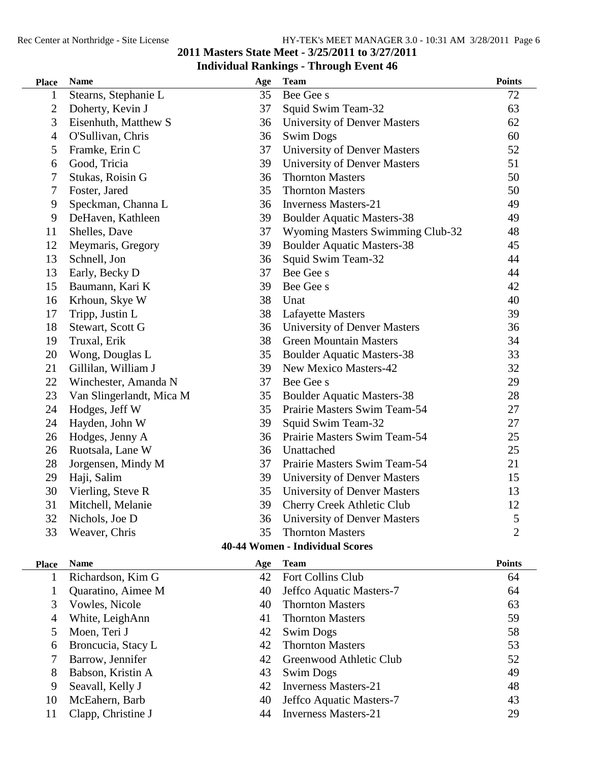#### **Masters State Meet - 3/25/2011 to 3/27/2011 Individual Rankings - Through Event 46 Place Name Age Team Points** 1 Stearns, Stephanie L 35 Bee Gee s 72 2 Doherty, Kevin J 37 Squid Swim Team-32 63 Eisenhuth, Matthew S 36 University of Denver Masters 62 O'Sullivan, Chris 36 Swim Dogs 60 Framke, Erin C 37 University of Denver Masters 52 Good, Tricia 39 University of Denver Masters 51 Stukas, Roisin G 36 Thornton Masters 50 Foster, Jared 35 Thornton Masters 50 Speckman, Channa L 36 Inverness Masters-21 49 DeHaven, Kathleen 39 Boulder Aquatic Masters-38 49 Shelles, Dave 37 Wyoming Masters Swimming Club-32 48 Meymaris, Gregory 39 Boulder Aquatic Masters-38 45 Schnell, Jon 36 Squid Swim Team-32 44 13 Early, Becky D 37 Bee Gee s 44 15 Baumann, Kari K 39 Bee Gee s 42 16 Krhoun, Skye W 38 Unat 40 17 Tripp, Justin L 38 Lafayette Masters 39 Stewart, Scott G 36 University of Denver Masters 36 Truxal, Erik 38 Green Mountain Masters 34 20 Wong, Douglas L 35 Boulder Aquatic Masters-38 33 21 Gillilan, William J 39 New Mexico Masters-42 32 22 Winchester, Amanda N 37 Bee Gee s 29 Van Slingerlandt, Mica M 35 Boulder Aquatic Masters-38 28 Hodges, Jeff W 35 Prairie Masters Swim Team-54 27 Hayden, John W 39 Squid Swim Team-32 27 Hodges, Jenny A 36 Prairie Masters Swim Team-54 25 Ruotsala, Lane W 36 Unattached 25 Jorgensen, Mindy M 37 Prairie Masters Swim Team-54 21 Haji, Salim 39 University of Denver Masters 15 Vierling, Steve R 35 University of Denver Masters 13 Mitchell, Melanie 39 Cherry Creek Athletic Club 12 32 Nichols, Joe D 36 University of Denver Masters 5 Weaver, Chris 35 Thornton Masters 2

#### **40-44 Women - Individual Scores**

| <b>Name</b>        | Age | <b>Team</b>                 | <b>Points</b> |
|--------------------|-----|-----------------------------|---------------|
| Richardson, Kim G  | 42  | Fort Collins Club           | 64            |
| Quaratino, Aimee M | 40  | Jeffco Aquatic Masters-7    | 64            |
| Vowles, Nicole     | 40  | <b>Thornton Masters</b>     | 63            |
| White, LeighAnn    | 41  | <b>Thornton Masters</b>     | 59            |
| Moen, Teri J       | 42  | <b>Swim Dogs</b>            | 58            |
| Broncucia, Stacy L | 42  | <b>Thornton Masters</b>     | 53            |
| Barrow, Jennifer   | 42  | Greenwood Athletic Club     | 52            |
| Babson, Kristin A  | 43  | <b>Swim Dogs</b>            | 49            |
| Seavall, Kelly J   | 42  | <b>Inverness Masters-21</b> | 48            |
| McEahern, Barb     | 40  | Jeffco Aquatic Masters-7    | 43            |
| Clapp, Christine J | 44  | <b>Inverness Masters-21</b> | 29            |
|                    |     |                             |               |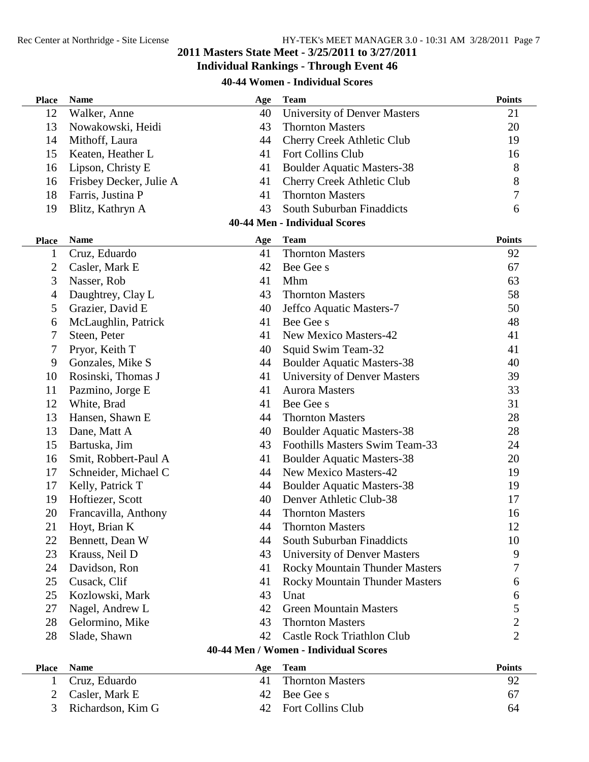## **Individual Rankings - Through Event 46**

### **40-44 Women - Individual Scores**

| <b>Place</b>   | <b>Name</b>             | Age | <b>Team</b>                           | <b>Points</b>    |
|----------------|-------------------------|-----|---------------------------------------|------------------|
| 12             | Walker, Anne            | 40  | <b>University of Denver Masters</b>   | 21               |
| 13             | Nowakowski, Heidi       | 43  | <b>Thornton Masters</b>               | 20               |
| 14             | Mithoff, Laura          | 44  | <b>Cherry Creek Athletic Club</b>     | 19               |
| 15             | Keaten, Heather L       | 41  | <b>Fort Collins Club</b>              | 16               |
| 16             | Lipson, Christy E       | 41  | <b>Boulder Aquatic Masters-38</b>     | 8                |
| 16             | Frisbey Decker, Julie A | 41  | Cherry Creek Athletic Club            | 8                |
| 18             | Farris, Justina P       | 41  | <b>Thornton Masters</b>               | 7                |
| 19             | Blitz, Kathryn A        | 43  | South Suburban Finaddicts             | 6                |
|                |                         |     | <b>40-44 Men - Individual Scores</b>  |                  |
| <b>Place</b>   | <b>Name</b>             | Age | <b>Team</b>                           | <b>Points</b>    |
| 1              | Cruz, Eduardo           | 41  | <b>Thornton Masters</b>               | 92               |
| 2              | Casler, Mark E          | 42  | Bee Gee s                             | 67               |
| 3              | Nasser, Rob             | 41  | Mhm                                   | 63               |
| 4              | Daughtrey, Clay L       | 43  | <b>Thornton Masters</b>               | 58               |
| 5              | Grazier, David E        | 40  | Jeffco Aquatic Masters-7              | 50               |
| 6              | McLaughlin, Patrick     | 41  | Bee Gee s                             | 48               |
| 7              | Steen, Peter            | 41  | <b>New Mexico Masters-42</b>          | 41               |
| 7              | Pryor, Keith T          | 40  | Squid Swim Team-32                    | 41               |
| 9              | Gonzales, Mike S        | 44  | <b>Boulder Aquatic Masters-38</b>     | 40               |
| 10             | Rosinski, Thomas J      | 41  | <b>University of Denver Masters</b>   | 39               |
| 11             | Pazmino, Jorge E        | 41  | <b>Aurora Masters</b>                 | 33               |
| 12             | White, Brad             | 41  | Bee Gee s                             | 31               |
| 13             | Hansen, Shawn E         | 44  | <b>Thornton Masters</b>               | 28               |
| 13             | Dane, Matt A            | 40  | <b>Boulder Aquatic Masters-38</b>     | 28               |
| 15             | Bartuska, Jim           | 43  | Foothills Masters Swim Team-33        | 24               |
| 16             | Smit, Robbert-Paul A    | 41  | <b>Boulder Aquatic Masters-38</b>     | 20               |
| 17             | Schneider, Michael C    | 44  | New Mexico Masters-42                 | 19               |
| 17             | Kelly, Patrick T        | 44  | <b>Boulder Aquatic Masters-38</b>     | 19               |
| 19             | Hoftiezer, Scott        | 40  | Denver Athletic Club-38               | 17               |
| 20             | Francavilla, Anthony    | 44  | <b>Thornton Masters</b>               | 16               |
| 21             | Hoyt, Brian K           | 44  | <b>Thornton Masters</b>               | 12               |
| 22             | Bennett, Dean W         | 44  | South Suburban Finaddicts             | 10               |
| 23             | Krauss, Neil D          | 43  | University of Denver Masters          | 9                |
| 24             | Davidson, Ron           | 41  | <b>Rocky Mountain Thunder Masters</b> | 7                |
| 25             | Cusack, Clif            | 41  | <b>Rocky Mountain Thunder Masters</b> | 6                |
| 25             | Kozlowski, Mark         | 43  | Unat                                  | 6                |
| 27             | Nagel, Andrew L         | 42  | <b>Green Mountain Masters</b>         | 5                |
| 28             | Gelormino, Mike         | 43  | <b>Thornton Masters</b>               | $\boldsymbol{2}$ |
| 28             | Slade, Shawn            | 42  | <b>Castle Rock Triathlon Club</b>     | $\overline{2}$   |
|                |                         |     | 40-44 Men / Women - Individual Scores |                  |
| <b>Place</b>   | <b>Name</b>             | Age | <b>Team</b>                           | <b>Points</b>    |
| 1              | Cruz, Eduardo           | 41  | <b>Thornton Masters</b>               | 92               |
| $\overline{2}$ | Casler, Mark E          | 42  | Bee Gee s                             | 67               |

| $\angle$ Casier. Mark E | $42$ Bee Gree S      |    |
|-------------------------|----------------------|----|
| 3 Richardson, Kim G     | 42 Fort Collins Club | 64 |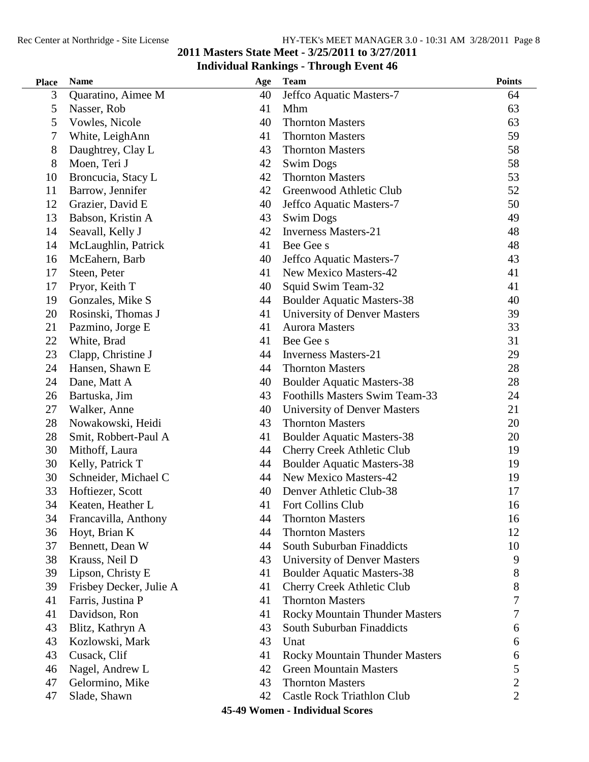#### **Individual Rankings - Through Event 46 Place Name Age Team Points** 3 Quaratino, Aimee M 40 Jeffco Aquatic Masters-7 64 5 Nasser, Rob 41 Mhm 63 5 Vowles, Nicole 40 Thornton Masters 63 7 White, LeighAnn 41 Thornton Masters 59 8 Daughtrey, Clay L 43 Thornton Masters 58 8 Moen, Teri J 42 Swim Dogs 58 58 10 Broncucia, Stacy L 42 Thornton Masters 53 11 Barrow, Jennifer 42 Greenwood Athletic Club 52 12 Grazier, David E 40 Jeffco Aquatic Masters-7 50 13 Babson, Kristin A 43 Swim Dogs 49 14 Seavall, Kelly J 42 Inverness Masters-21 48 14 McLaughlin, Patrick 41 Bee Gee s 48 16 McEahern, Barb 40 Jeffco Aquatic Masters-7 43 17 Steen, Peter 41 New Mexico Masters-42 41 17 Pryor, Keith T 40 Squid Swim Team-32 41 19 Gonzales, Mike S 44 Boulder Aquatic Masters-38 40 20 Rosinski, Thomas J 41 University of Denver Masters 39 21 Pazmino, Jorge E 41 Aurora Masters 33 22 White, Brad 41 Bee Gee s 31 23 Clapp, Christine J 44 Inverness Masters-21 29 24 Hansen, Shawn E 44 Thornton Masters 28 24 Dane, Matt A 40 Boulder Aquatic Masters-38 28 26 Bartuska, Jim 43 Foothills Masters Swim Team-33 24 27 Walker, Anne 40 University of Denver Masters 21 28 Nowakowski, Heidi 43 Thornton Masters 20 28 Smit, Robbert-Paul A 41 Boulder Aquatic Masters-38 20 30 Mithoff, Laura 44 Cherry Creek Athletic Club 19 30 Kelly, Patrick T 44 Boulder Aquatic Masters-38 19 30 Schneider, Michael C 44 New Mexico Masters-42 19 33 Hoftiezer, Scott 40 Denver Athletic Club-38 17 34 Keaten, Heather L 41 Fort Collins Club 16 34 Francavilla, Anthony 44 Thornton Masters 16 36 Hoyt, Brian K 44 Thornton Masters 12 37 Bennett, Dean W 44 South Suburban Finaddicts 10 38 Krauss, Neil D 43 University of Denver Masters 9 39 Lipson, Christy E 41 Boulder Aquatic Masters-38 8 39 Frisbey Decker, Julie A 41 Cherry Creek Athletic Club 8 41 Farris, Justina P 67 and 41 Thornton Masters 7 and 7 and 7 and 7 and 7 and 7 and 7 and 7 and 7 and 7 and 7 and 7 and 7 and 7 and 7 and 7 and 7 and 7 and 7 and 7 and 7 and 7 and 7 and 7 and 7 and 7 and 7 and 7 and 7 and 41 Davidson, Ron 41 Rocky Mountain Thunder Masters 7 43 Blitz, Kathryn A 43 South Suburban Finaddicts 6 43 Kozlowski, Mark 43 Unat 6 43 Cusack, Clif **41 Rocky Mountain Thunder Masters** 6 46 Nagel, Andrew L<sub>42</sub> Green Mountain Masters 5 47 Gelormino, Mike 43 Thornton Masters 2 47 Slade, Shawn 42 Castle Rock Triathlon Club 2

**2011 Masters State Meet - 3/25/2011 to 3/27/2011**

#### **45-49 Women - Individual Scores**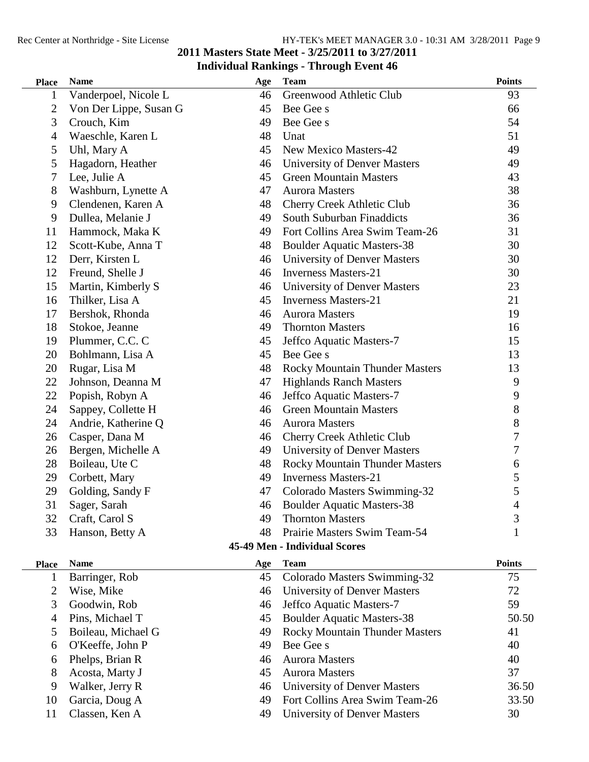#### **Place Name Age Team Points** 1 Vanderpoel, Nicole L 46 Greenwood Athletic Club 93 2 Von Der Lippe, Susan G 45 Bee Gee s 66 3 Crouch, Kim 49 Bee Gee s 54 4 Waeschle, Karen L 48 Unat 51 5 Uhl, Mary A 45 New Mexico Masters-42 49 5 Hagadorn, Heather 46 University of Denver Masters 49 7 Lee, Julie A 45 Green Mountain Masters 43 8 Washburn, Lynette A 47 Aurora Masters 38 9 Clendenen, Karen A 48 Cherry Creek Athletic Club 36 9 Dullea, Melanie J 49 South Suburban Finaddicts 36 11 Hammock, Maka K 49 Fort Collins Area Swim Team-26 31 12 Scott-Kube, Anna T 48 Boulder Aquatic Masters-38 30 12 Derr, Kirsten L 46 University of Denver Masters 30 12 Freund, Shelle J 46 Inverness Masters-21 30 15 Martin, Kimberly S 46 University of Denver Masters 23 16 Thilker, Lisa A 45 Inverness Masters-21 21 21 17 Bershok, Rhonda 46 Aurora Masters 19 18 Stokoe, Jeanne 49 Thornton Masters 16 19 Plummer, C.C. C 45 Jeffco Aquatic Masters-7 15 20 Bohlmann, Lisa A 45 Bee Gee s 13 20 Rugar, Lisa M 48 Rocky Mountain Thunder Masters 13 22 Johnson, Deanna M 47 Highlands Ranch Masters 9 22 Popish, Robyn A<br>
24 Sannev. Collette H 46 Green Mountain Masters<br>
24 Sannev. Collette H 46 Green Mountain Masters 24 Sappey, Collette H 46 Green Mountain Masters 24 Andrie, Katherine Q 46 Aurora Masters 8 26 Casper, Dana M 46 Cherry Creek Athletic Club 7 26 Bergen, Michelle A 49 University of Denver Masters 7 28 Boileau, Ute C 6 48 Rocky Mountain Thunder Masters 6 29 Corbett, Mary 49 Inverness Masters-21 5 29 Golding, Sandy F 47 Colorado Masters Swimming-32 5 31 Sager, Sarah 46 Boulder Aquatic Masters-38 4 32 Craft, Carol S 49 Thornton Masters 3 33 Hanson, Betty A 48 Prairie Masters Swim Team-54 1 **45-49 Men - Individual Scores Place Name Age Team Points** 1 Barringer, Rob 45 Colorado Masters Swimming-32 75 2 Wise, Mike 2012 46 University of Denver Masters 2014 3 Goodwin, Rob 46 Jeffco Aquatic Masters-7 59 4 Pins, Michael T 45 Boulder Aquatic Masters-38 50.50 5 Boileau, Michael G 49 Rocky Mountain Thunder Masters 41 6 O'Keeffe, John P  $\begin{array}{ccc} 49 & \text{Bee Gee s} \end{array}$  40 6 Phelps, Brian R 46 Aurora Masters 40 8 Acosta, Marty J 45 Aurora Masters 37 9 Walker, Jerry R 46 University of Denver Masters 36.50 10 Garcia, Doug A 49 Fort Collins Area Swim Team-26 33.50 11 Classen, Ken A 49 University of Denver Masters 30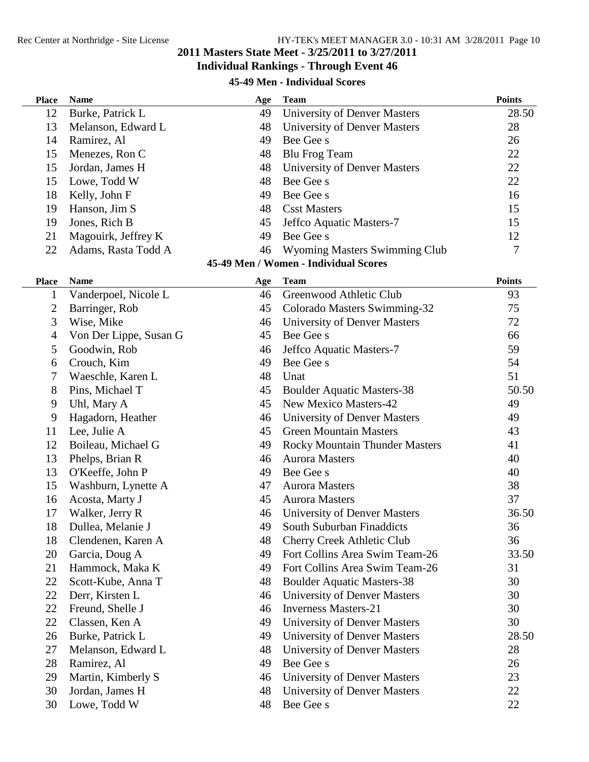#### **45-49 Men - Individual Scores**

| <b>Place</b>   | <b>Name</b>            | Age | <b>Team</b>                           | <b>Points</b> |
|----------------|------------------------|-----|---------------------------------------|---------------|
| 12             | Burke, Patrick L       | 49  | <b>University of Denver Masters</b>   | 28.50         |
| 13             | Melanson, Edward L     | 48  | <b>University of Denver Masters</b>   | 28            |
| 14             | Ramirez, Al            | 49  | Bee Gee s                             | 26            |
| 15             | Menezes, Ron C         | 48  | <b>Blu Frog Team</b>                  | 22            |
| 15             | Jordan, James H        | 48  | University of Denver Masters          | 22            |
| 15             | Lowe, Todd W           | 48  | Bee Gee s                             | 22            |
| 18             | Kelly, John F          | 49  | Bee Gee s                             | 16            |
| 19             | Hanson, Jim S          | 48  | <b>Csst Masters</b>                   | 15            |
| 19             | Jones, Rich B          | 45  | Jeffco Aquatic Masters-7              | 15            |
| 21             | Magouirk, Jeffrey K    | 49  | Bee Gee s                             | 12            |
| 22             | Adams, Rasta Todd A    | 46  | Wyoming Masters Swimming Club         | 7             |
|                |                        |     | 45-49 Men / Women - Individual Scores |               |
| <b>Place</b>   | <b>Name</b>            | Age | <b>Team</b>                           | <b>Points</b> |
| $\mathbf{1}$   | Vanderpoel, Nicole L   | 46  | Greenwood Athletic Club               | 93            |
| $\overline{2}$ | Barringer, Rob         | 45  | Colorado Masters Swimming-32          | 75            |
| 3              | Wise, Mike             | 46  | University of Denver Masters          | 72            |
| 4              | Von Der Lippe, Susan G | 45  | Bee Gee s                             | 66            |
| 5              | Goodwin, Rob           | 46  | Jeffco Aquatic Masters-7              | 59            |
| 6              | Crouch, Kim            | 49  | Bee Gee s                             | 54            |
| 7              | Waeschle, Karen L      | 48  | Unat                                  | 51            |
| 8              | Pins, Michael T        | 45  | <b>Boulder Aquatic Masters-38</b>     | 50.50         |
| 9              | Uhl, Mary A            | 45  | <b>New Mexico Masters-42</b>          | 49            |
| 9              | Hagadorn, Heather      | 46  | University of Denver Masters          | 49            |
| 11             | Lee, Julie A           | 45  | <b>Green Mountain Masters</b>         | 43            |
| 12             | Boileau, Michael G     | 49  | <b>Rocky Mountain Thunder Masters</b> | 41            |
| 13             | Phelps, Brian R        | 46  | <b>Aurora Masters</b>                 | 40            |
| 13             | O'Keeffe, John P       | 49  | Bee Gee s                             | 40            |
| 15             | Washburn, Lynette A    | 47  | <b>Aurora Masters</b>                 | 38            |
| 16             | Acosta, Marty J        | 45  | <b>Aurora Masters</b>                 | 37            |
| 17             | Walker, Jerry R        | 46  | <b>University of Denver Masters</b>   | 36.50         |
| 18             | Dullea, Melanie J      | 49  | South Suburban Finaddicts             | 36            |
| 18             | Clendenen, Karen A     | 48  | Cherry Creek Athletic Club            | 36            |
| 20             | Garcia, Doug A         | 49  | Fort Collins Area Swim Team-26        | 33.50         |
| 21             | Hammock, Maka K        | 49  | Fort Collins Area Swim Team-26        | 31            |
| 22             | Scott-Kube, Anna T     | 48  | <b>Boulder Aquatic Masters-38</b>     | 30            |
| 22             | Derr, Kirsten L        | 46  | University of Denver Masters          | 30            |
| 22             | Freund, Shelle J       | 46  | <b>Inverness Masters-21</b>           | 30            |
| 22             | Classen, Ken A         | 49  | University of Denver Masters          | 30            |
| 26             | Burke, Patrick L       | 49  | University of Denver Masters          | 28.50         |
| 27             | Melanson, Edward L     | 48  | University of Denver Masters          | 28            |
| 28             | Ramirez, Al            | 49  | Bee Gee s                             | 26            |
| 29             | Martin, Kimberly S     | 46  | University of Denver Masters          | 23            |
| 30             | Jordan, James H        | 48  | <b>University of Denver Masters</b>   | 22            |
| 30             | Lowe, Todd W           | 48  | Bee Gee s                             | 22            |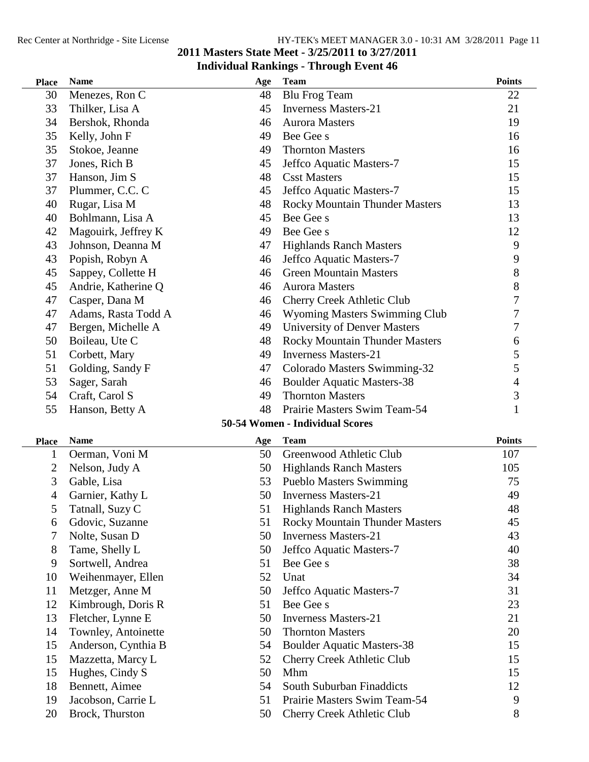| <b>Place</b> | <b>Name</b>         | Age | <b>Team</b>                           | <b>Points</b> |
|--------------|---------------------|-----|---------------------------------------|---------------|
| 30           | Menezes, Ron C      | 48  | <b>Blu Frog Team</b>                  | 22            |
| 33           | Thilker, Lisa A     | 45  | <b>Inverness Masters-21</b>           | 21            |
| 34           | Bershok, Rhonda     | 46  | <b>Aurora Masters</b>                 | 19            |
| 35           | Kelly, John F       | 49  | Bee Gee s                             | 16            |
| 35           | Stokoe, Jeanne      | 49  | <b>Thornton Masters</b>               | 16            |
| 37           | Jones, Rich B       | 45  | Jeffco Aquatic Masters-7              | 15            |
| 37           | Hanson, Jim S       | 48  | <b>Csst Masters</b>                   | 15            |
| 37           | Plummer, C.C. C     | 45  | Jeffco Aquatic Masters-7              | 15            |
| 40           | Rugar, Lisa M       | 48  | <b>Rocky Mountain Thunder Masters</b> | 13            |
| 40           | Bohlmann, Lisa A    | 45  | Bee Gee s                             | 13            |
| 42           | Magouirk, Jeffrey K | 49  | Bee Gee s                             | 12            |
| 43           | Johnson, Deanna M   | 47  | <b>Highlands Ranch Masters</b>        | 9             |
| 43           | Popish, Robyn A     | 46  | Jeffco Aquatic Masters-7              | 9             |
| 45           | Sappey, Collette H  | 46  | <b>Green Mountain Masters</b>         | 8             |
| 45           | Andrie, Katherine Q | 46  | <b>Aurora Masters</b>                 | $8\,$         |
| 47           | Casper, Dana M      | 46  | Cherry Creek Athletic Club            | 7             |
| 47           | Adams, Rasta Todd A | 46  | <b>Wyoming Masters Swimming Club</b>  | 7             |
| 47           | Bergen, Michelle A  | 49  | <b>University of Denver Masters</b>   | 7             |
| 50           | Boileau, Ute C      | 48  | Rocky Mountain Thunder Masters        | 6             |
| 51           | Corbett, Mary       | 49  | <b>Inverness Masters-21</b>           | 5             |
| 51           | Golding, Sandy F    | 47  | Colorado Masters Swimming-32          | 5             |
| 53           | Sager, Sarah        | 46  | <b>Boulder Aquatic Masters-38</b>     | 4             |
| 54           | Craft, Carol S      | 49  | <b>Thornton Masters</b>               | 3             |
| 55           | Hanson, Betty A     | 48  | Prairie Masters Swim Team-54          | 1             |
|              |                     |     | 50-54 Women - Individual Scores       |               |
| <b>Place</b> | <b>Name</b>         | Age | <b>Team</b>                           | <b>Points</b> |
| $\mathbf{1}$ | Oerman, Voni M      | 50  | Greenwood Athletic Club               | 107           |
| 2            | Nelson, Judy A      | 50  | <b>Highlands Ranch Masters</b>        | 105           |
| 3            | Gable, Lisa         | 53  | <b>Pueblo Masters Swimming</b>        | 75            |
| 4            | Garnier, Kathy L    | 50  | <b>Inverness Masters-21</b>           | 49            |
| 5            | Tatnall, Suzy C     | 51  | <b>Highlands Ranch Masters</b>        | 48            |
| 6            | Gdovic, Suzanne     | 51  | <b>Rocky Mountain Thunder Masters</b> | 45            |
| 7            | Nolte, Susan D      | 50  | <b>Inverness Masters-21</b>           | 43            |
| 8            | Tame, Shelly L      | 50  | Jeffco Aquatic Masters-7              | 40            |
| 9            | Sortwell, Andrea    | 51  | Bee Gee s                             | 38            |
| 10           | Weihenmayer, Ellen  | 52  | Unat                                  | 34            |
| 11           | Metzger, Anne M     | 50  | Jeffco Aquatic Masters-7              | 31            |
| 12           | Kimbrough, Doris R  | 51  | Bee Gee s                             | 23            |
| 13           | Fletcher, Lynne E   | 50  | <b>Inverness Masters-21</b>           | 21            |
| 14           | Townley, Antoinette | 50  | <b>Thornton Masters</b>               | 20            |
| 15           | Anderson, Cynthia B | 54  | <b>Boulder Aquatic Masters-38</b>     | 15            |
| 15           | Mazzetta, Marcy L   | 52  | Cherry Creek Athletic Club            | 15            |
| 15           | Hughes, Cindy S     | 50  | Mhm                                   | 15            |
| 18           | Bennett, Aimee      | 54  | South Suburban Finaddicts             | 12            |
| 19           | Jacobson, Carrie L  | 51  | Prairie Masters Swim Team-54          | 9             |
| 20           | Brock, Thurston     | 50  | Cherry Creek Athletic Club            | 8             |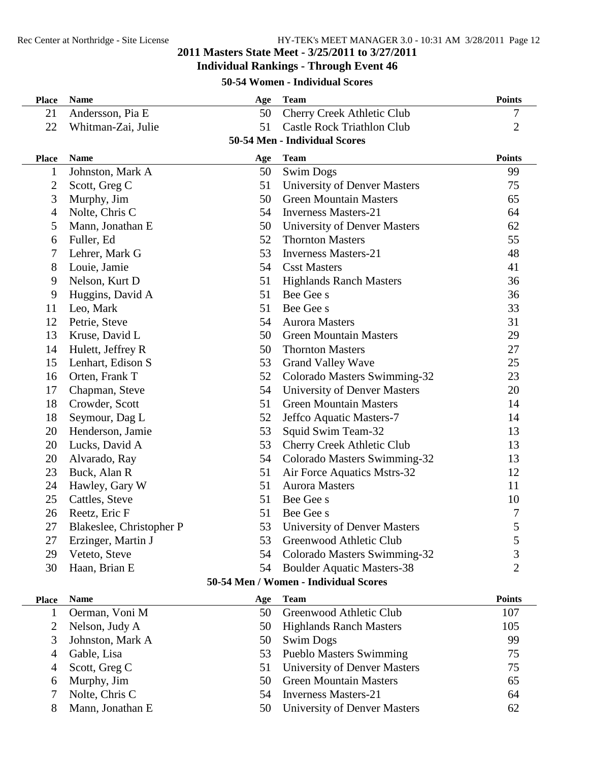#### **Individual Rankings - Through Event 46**

#### **50-54 Women - Individual Scores**

| <b>Place</b>   | <b>Name</b>              | Age | <b>Team</b>                           | <b>Points</b>  |
|----------------|--------------------------|-----|---------------------------------------|----------------|
| 21             | Andersson, Pia E         | 50  | <b>Cherry Creek Athletic Club</b>     | 7              |
| 22             | Whitman-Zai, Julie       | 51  | <b>Castle Rock Triathlon Club</b>     | $\overline{2}$ |
|                |                          |     | 50-54 Men - Individual Scores         |                |
| <b>Place</b>   | <b>Name</b>              | Age | <b>Team</b>                           | <b>Points</b>  |
| $\mathbf{1}$   | Johnston, Mark A         | 50  | <b>Swim Dogs</b>                      | 99             |
| $\overline{2}$ | Scott, Greg C            | 51  | <b>University of Denver Masters</b>   | 75             |
| 3              | Murphy, Jim              | 50  | <b>Green Mountain Masters</b>         | 65             |
| 4              | Nolte, Chris C           | 54  | <b>Inverness Masters-21</b>           | 64             |
| 5              | Mann, Jonathan E         | 50  | University of Denver Masters          | 62             |
| 6              | Fuller, Ed               | 52  | <b>Thornton Masters</b>               | 55             |
| 7              | Lehrer, Mark G           | 53  | <b>Inverness Masters-21</b>           | 48             |
| 8              | Louie, Jamie             | 54  | <b>Csst Masters</b>                   | 41             |
| 9              | Nelson, Kurt D           | 51  | <b>Highlands Ranch Masters</b>        | 36             |
| 9              | Huggins, David A         | 51  | Bee Gee s                             | 36             |
| 11             | Leo, Mark                | 51  | Bee Gee s                             | 33             |
| 12             | Petrie, Steve            | 54  | <b>Aurora Masters</b>                 | 31             |
| 13             | Kruse, David L           | 50  | <b>Green Mountain Masters</b>         | 29             |
| 14             | Hulett, Jeffrey R        | 50  | <b>Thornton Masters</b>               | 27             |
| 15             | Lenhart, Edison S        | 53  | <b>Grand Valley Wave</b>              | 25             |
| 16             | Orten, Frank T           | 52  | Colorado Masters Swimming-32          | 23             |
| 17             | Chapman, Steve           | 54  | <b>University of Denver Masters</b>   | 20             |
| 18             | Crowder, Scott           | 51  | <b>Green Mountain Masters</b>         | 14             |
| 18             | Seymour, Dag L           | 52  | Jeffco Aquatic Masters-7              | 14             |
| 20             | Henderson, Jamie         | 53  | Squid Swim Team-32                    | 13             |
| 20             | Lucks, David A           | 53  | <b>Cherry Creek Athletic Club</b>     | 13             |
| 20             | Alvarado, Ray            | 54  | Colorado Masters Swimming-32          | 13             |
| 23             | Buck, Alan R             | 51  | Air Force Aquatics Mstrs-32           | 12             |
| 24             | Hawley, Gary W           | 51  | <b>Aurora Masters</b>                 | 11             |
| 25             | Cattles, Steve           | 51  | Bee Gee s                             | 10             |
| 26             | Reetz, Eric F            | 51  | Bee Gee s                             | 7              |
| 27             | Blakeslee, Christopher P | 53  | <b>University of Denver Masters</b>   | 5              |
| 27             | Erzinger, Martin J       | 53  | Greenwood Athletic Club               | 5              |
| 29             | Veteto, Steve            | 54  | Colorado Masters Swimming-32          | 3              |
| 30             | Haan, Brian E            | 54  | <b>Boulder Aquatic Masters-38</b>     | $\overline{2}$ |
|                |                          |     | 50-54 Men / Women - Individual Scores |                |
| <b>Place</b>   | <b>Name</b>              | Age | <b>Team</b>                           | <b>Points</b>  |
| 1              | Oerman, Voni M           | 50  | Greenwood Athletic Club               | 107            |
| 2              | Nelson, Judy A           | 50  | <b>Highlands Ranch Masters</b>        | 105            |
| 3              | Johnston, Mark A         | 50  | <b>Swim Dogs</b>                      | 99             |
| 4              | Gable, Lisa              | 53  | <b>Pueblo Masters Swimming</b>        | 75             |
| 4              | Scott, Greg C            | 51  | <b>University of Denver Masters</b>   | 75             |

| 6 Murphy, Jim      | 50 Green Mountain Masters       | 65 |
|--------------------|---------------------------------|----|
| 7 Nolte, Chris C   | 54 Inverness Masters-21         | 64 |
| 8 Mann, Jonathan E | 50 University of Denver Masters | 62 |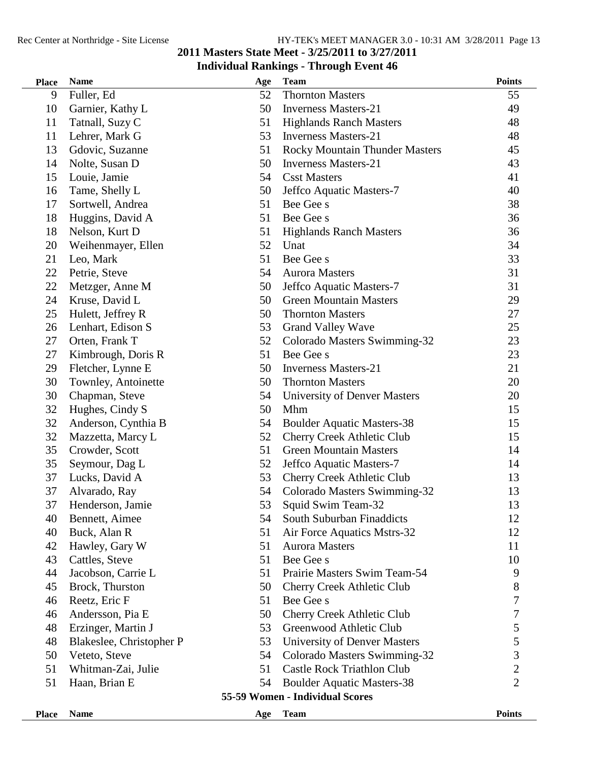| <b>Place</b> | <b>Name</b>              | Age | <b>Team</b>                           | <b>Points</b>  |
|--------------|--------------------------|-----|---------------------------------------|----------------|
| 9            | Fuller, Ed               | 52  | <b>Thornton Masters</b>               | 55             |
| 10           | Garnier, Kathy L         | 50  | <b>Inverness Masters-21</b>           | 49             |
| 11           | Tatnall, Suzy C          | 51  | <b>Highlands Ranch Masters</b>        | 48             |
| 11           | Lehrer, Mark G           | 53  | <b>Inverness Masters-21</b>           | 48             |
| 13           | Gdovic, Suzanne          | 51  | <b>Rocky Mountain Thunder Masters</b> | 45             |
| 14           | Nolte, Susan D           | 50  | <b>Inverness Masters-21</b>           | 43             |
| 15           | Louie, Jamie             | 54  | <b>Csst Masters</b>                   | 41             |
| 16           | Tame, Shelly L           | 50  | Jeffco Aquatic Masters-7              | 40             |
| 17           | Sortwell, Andrea         | 51  | Bee Gee s                             | 38             |
| 18           | Huggins, David A         | 51  | Bee Gee s                             | 36             |
| 18           | Nelson, Kurt D           | 51  | <b>Highlands Ranch Masters</b>        | 36             |
| 20           | Weihenmayer, Ellen       | 52  | Unat                                  | 34             |
| 21           | Leo, Mark                | 51  | Bee Gee s                             | 33             |
| 22           | Petrie, Steve            | 54  | <b>Aurora Masters</b>                 | 31             |
| 22           | Metzger, Anne M          | 50  | Jeffco Aquatic Masters-7              | 31             |
| 24           | Kruse, David L           | 50  | <b>Green Mountain Masters</b>         | 29             |
| 25           | Hulett, Jeffrey R        | 50  | <b>Thornton Masters</b>               | 27             |
| 26           | Lenhart, Edison S        | 53  | <b>Grand Valley Wave</b>              | 25             |
| 27           | Orten, Frank T           | 52  | Colorado Masters Swimming-32          | 23             |
| 27           | Kimbrough, Doris R       | 51  | Bee Gee s                             | 23             |
| 29           | Fletcher, Lynne E        | 50  | <b>Inverness Masters-21</b>           | 21             |
| 30           | Townley, Antoinette      | 50  | <b>Thornton Masters</b>               | 20             |
| 30           | Chapman, Steve           | 54  | <b>University of Denver Masters</b>   | 20             |
| 32           | Hughes, Cindy S          | 50  | Mhm                                   | 15             |
| 32           | Anderson, Cynthia B      | 54  | <b>Boulder Aquatic Masters-38</b>     | 15             |
| 32           | Mazzetta, Marcy L        | 52  | <b>Cherry Creek Athletic Club</b>     | 15             |
| 35           | Crowder, Scott           | 51  | <b>Green Mountain Masters</b>         | 14             |
| 35           | Seymour, Dag L           | 52  | Jeffco Aquatic Masters-7              | 14             |
| 37           | Lucks, David A           | 53  | <b>Cherry Creek Athletic Club</b>     | 13             |
| 37           | Alvarado, Ray            | 54  | Colorado Masters Swimming-32          | 13             |
| 37           | Henderson, Jamie         | 53  | Squid Swim Team-32                    | 13             |
| 40           | Bennett, Aimee           | 54  | South Suburban Finaddicts             | 12             |
| 40           | Buck, Alan R             | 51  | Air Force Aquatics Mstrs-32           | 12             |
| 42           | Hawley, Gary W           | 51  | <b>Aurora Masters</b>                 | 11             |
| 43           | Cattles, Steve           | 51  | Bee Gee s                             | 10             |
| 44           | Jacobson, Carrie L       | 51  | Prairie Masters Swim Team-54          | 9              |
| 45           | Brock, Thurston          | 50  | Cherry Creek Athletic Club            | 8              |
| 46           | Reetz, Eric F            | 51  | Bee Gee s                             | $\overline{7}$ |
| 46           | Andersson, Pia E         | 50  | <b>Cherry Creek Athletic Club</b>     | 7              |
| 48           | Erzinger, Martin J       | 53  | Greenwood Athletic Club               | 5              |
| 48           | Blakeslee, Christopher P | 53  | <b>University of Denver Masters</b>   | 5              |
| 50           | Veteto, Steve            | 54  | Colorado Masters Swimming-32          | 3              |
| 51           | Whitman-Zai, Julie       | 51  | <b>Castle Rock Triathlon Club</b>     | $\overline{c}$ |
| 51           | Haan, Brian E            | 54  | <b>Boulder Aquatic Masters-38</b>     | $\overline{2}$ |
|              |                          |     | 55-59 Women - Individual Scores       |                |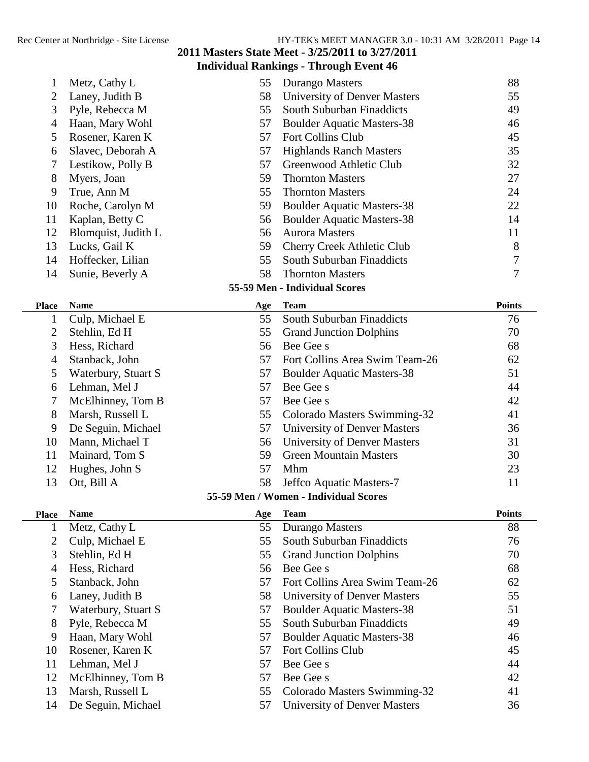| 1              | Metz, Cathy L       | 55  | Durango Masters                       | 88             |
|----------------|---------------------|-----|---------------------------------------|----------------|
| 2              | Laney, Judith B     | 58  | <b>University of Denver Masters</b>   | 55             |
| 3              | Pyle, Rebecca M     | 55  | South Suburban Finaddicts             | 49             |
| $\overline{4}$ | Haan, Mary Wohl     | 57  | <b>Boulder Aquatic Masters-38</b>     | 46             |
| 5              | Rosener, Karen K    | 57  | Fort Collins Club                     | 45             |
| 6              | Slavec, Deborah A   | 57  | <b>Highlands Ranch Masters</b>        | 35             |
| 7              | Lestikow, Polly B   | 57  | Greenwood Athletic Club               | 32             |
| 8              | Myers, Joan         | 59  | <b>Thornton Masters</b>               | 27             |
| 9              | True, Ann M         | 55  | <b>Thornton Masters</b>               | 24             |
| 10             | Roche, Carolyn M    | 59  | <b>Boulder Aquatic Masters-38</b>     | 22             |
| 11             | Kaplan, Betty C     | 56  | <b>Boulder Aquatic Masters-38</b>     | 14             |
| 12             | Blomquist, Judith L | 56  | <b>Aurora Masters</b>                 | 11             |
| 13             | Lucks, Gail K       | 59  | <b>Cherry Creek Athletic Club</b>     | 8              |
| 14             | Hoffecker, Lilian   | 55  | South Suburban Finaddicts             | 7              |
| 14             | Sunie, Beverly A    | 58  | <b>Thornton Masters</b>               | $\overline{7}$ |
|                |                     |     | 55-59 Men - Individual Scores         |                |
| <b>Place</b>   | <b>Name</b>         | Age | <b>Team</b>                           | <b>Points</b>  |
| 1              | Culp, Michael E     | 55  | South Suburban Finaddicts             | 76             |
| 2              | Stehlin, Ed H       | 55  | <b>Grand Junction Dolphins</b>        | 70             |
| 3              | Hess, Richard       | 56  | Bee Gee s                             | 68             |
| $\overline{4}$ | Stanback, John      | 57  | Fort Collins Area Swim Team-26        | 62             |
| 5              | Waterbury, Stuart S | 57  | <b>Boulder Aquatic Masters-38</b>     | 51             |
| 6              | Lehman, Mel J       | 57  | Bee Gee s                             | 44             |
| 7              | McElhinney, Tom B   | 57  | Bee Gee s                             | 42             |
| 8              | Marsh, Russell L    | 55  | Colorado Masters Swimming-32          | 41             |
| 9              | De Seguin, Michael  | 57  | <b>University of Denver Masters</b>   | 36             |
| 10             | Mann, Michael T     | 56  | <b>University of Denver Masters</b>   | 31             |
| 11             | Mainard, Tom S      | 59  | <b>Green Mountain Masters</b>         | 30             |
| 12             | Hughes, John S      | 57  | Mhm                                   | 23             |
| 13             | Ott, Bill A         | 58  | Jeffco Aquatic Masters-7              | 11             |
|                |                     |     | 55-59 Men / Women - Individual Scores |                |
| <b>Place</b>   | <b>Name</b>         | Age | <b>Team</b>                           | <b>Points</b>  |
| 1              | Metz, Cathy L       | 55  | <b>Durango Masters</b>                | 88             |
| 2              | Culp, Michael E     | 55  | South Suburban Finaddicts             | 76             |
| 3              | Stehlin, Ed H       | 55  | <b>Grand Junction Dolphins</b>        | 70             |
| 4              | Hess, Richard       | 56  | Bee Gee s                             | 68             |
| 5              | Stanback, John      | 57  | Fort Collins Area Swim Team-26        | 62             |
| 6              | Laney, Judith B     | 58  | <b>University of Denver Masters</b>   | 55             |
| 7              | Waterbury, Stuart S | 57  | <b>Boulder Aquatic Masters-38</b>     | 51             |
| 8              | Pyle, Rebecca M     | 55  | South Suburban Finaddicts             | 49             |
| 9              | Haan, Mary Wohl     | 57  | <b>Boulder Aquatic Masters-38</b>     | 46             |
| 10             | Rosener, Karen K    | 57  | Fort Collins Club                     | 45             |
| 11             | Lehman, Mel J       | 57  | Bee Gee s                             | 44             |
| 12             | McElhinney, Tom B   | 57  | Bee Gee s                             | 42             |
| 13             | Marsh, Russell L    | 55  | Colorado Masters Swimming-32          | 41             |
| 14             | De Seguin, Michael  | 57  | <b>University of Denver Masters</b>   | 36             |
|                |                     |     |                                       |                |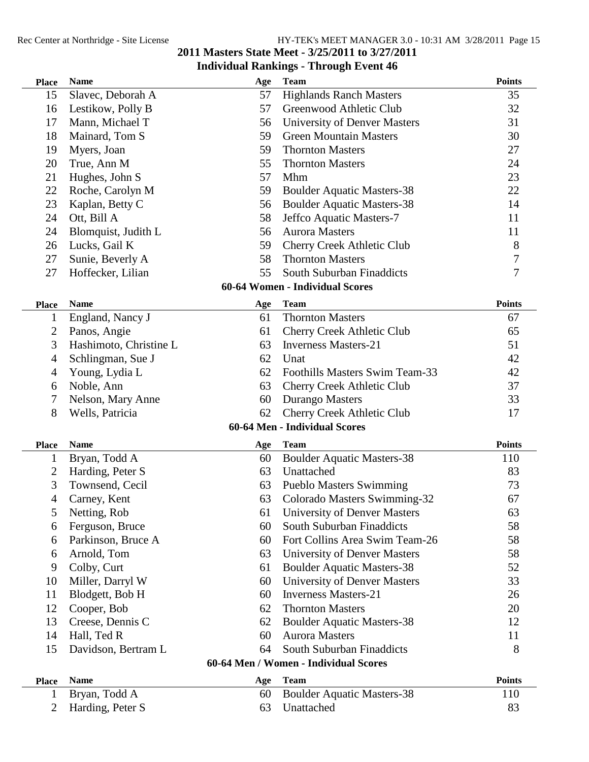| <b>Place</b>   | <b>Name</b>            | Age | <b>Team</b>                           | <b>Points</b>  |
|----------------|------------------------|-----|---------------------------------------|----------------|
| 15             | Slavec, Deborah A      | 57  | <b>Highlands Ranch Masters</b>        | 35             |
| 16             | Lestikow, Polly B      | 57  | Greenwood Athletic Club               | 32             |
| 17             | Mann, Michael T        | 56  | <b>University of Denver Masters</b>   | 31             |
| 18             | Mainard, Tom S         | 59  | <b>Green Mountain Masters</b>         | 30             |
| 19             | Myers, Joan            | 59  | <b>Thornton Masters</b>               | 27             |
| 20             | True, Ann M            | 55  | <b>Thornton Masters</b>               | 24             |
| 21             | Hughes, John S         | 57  | Mhm                                   | 23             |
| 22             | Roche, Carolyn M       | 59  | <b>Boulder Aquatic Masters-38</b>     | 22             |
| 23             | Kaplan, Betty C        | 56  | <b>Boulder Aquatic Masters-38</b>     | 14             |
| 24             | Ott, Bill A            | 58  | Jeffco Aquatic Masters-7              | 11             |
| 24             | Blomquist, Judith L    | 56  | <b>Aurora Masters</b>                 | 11             |
| 26             | Lucks, Gail K          | 59  | Cherry Creek Athletic Club            | 8              |
| 27             | Sunie, Beverly A       | 58  | <b>Thornton Masters</b>               | $\overline{7}$ |
| 27             | Hoffecker, Lilian      | 55  | South Suburban Finaddicts             | 7              |
|                |                        |     | 60-64 Women - Individual Scores       |                |
| <b>Place</b>   | <b>Name</b>            | Age | <b>Team</b>                           | <b>Points</b>  |
| $\mathbf{1}$   | England, Nancy J       | 61  | <b>Thornton Masters</b>               | 67             |
| 2              | Panos, Angie           | 61  | <b>Cherry Creek Athletic Club</b>     | 65             |
| 3              | Hashimoto, Christine L | 63  | <b>Inverness Masters-21</b>           | 51             |
| 4              | Schlingman, Sue J      | 62  | Unat                                  | 42             |
| 4              | Young, Lydia L         | 62  | Foothills Masters Swim Team-33        | 42             |
| 6              | Noble, Ann             | 63  | Cherry Creek Athletic Club            | 37             |
| 7              | Nelson, Mary Anne      | 60  | Durango Masters                       | 33             |
| 8              | Wells, Patricia        | 62  | <b>Cherry Creek Athletic Club</b>     | 17             |
|                |                        |     | 60-64 Men - Individual Scores         |                |
| <b>Place</b>   | <b>Name</b>            | Age | <b>Team</b>                           | <b>Points</b>  |
| 1              | Bryan, Todd A          | 60  | <b>Boulder Aquatic Masters-38</b>     | 110            |
| $\overline{2}$ | Harding, Peter S       | 63  | Unattached                            | 83             |
| 3              | Townsend, Cecil        | 63  | <b>Pueblo Masters Swimming</b>        | 73             |
| 4              | Carney, Kent           | 63  | Colorado Masters Swimming-32          | 67             |
| 5              | Netting, Rob           | 61  | University of Denver Masters          | 63             |
| 6              | Ferguson, Bruce        | 60  | South Suburban Finaddicts             | 58             |
| 6              | Parkinson, Bruce A     | 60  | Fort Collins Area Swim Team-26        | 58             |
| 6              | Arnold, Tom            | 63  | University of Denver Masters          | 58             |
| 9              | Colby, Curt            | 61  | <b>Boulder Aquatic Masters-38</b>     | 52             |
| 10             | Miller, Darryl W       | 60  | <b>University of Denver Masters</b>   | 33             |
| 11             | Blodgett, Bob H        | 60  | <b>Inverness Masters-21</b>           | 26             |
| 12             | Cooper, Bob            | 62  | <b>Thornton Masters</b>               | 20             |
| 13             | Creese, Dennis C       | 62  | <b>Boulder Aquatic Masters-38</b>     | 12             |
| 14             |                        |     |                                       |                |
|                | Hall, Ted R            | 60  | <b>Aurora Masters</b>                 | 11             |
| 15             | Davidson, Bertram L    | 64  | South Suburban Finaddicts             | 8              |
|                |                        |     | 60-64 Men / Women - Individual Scores |                |
| <b>Place</b>   | <b>Name</b>            | Age | <b>Team</b>                           | <b>Points</b>  |
| 1              | Bryan, Todd A          | 60  | <b>Boulder Aquatic Masters-38</b>     | 110            |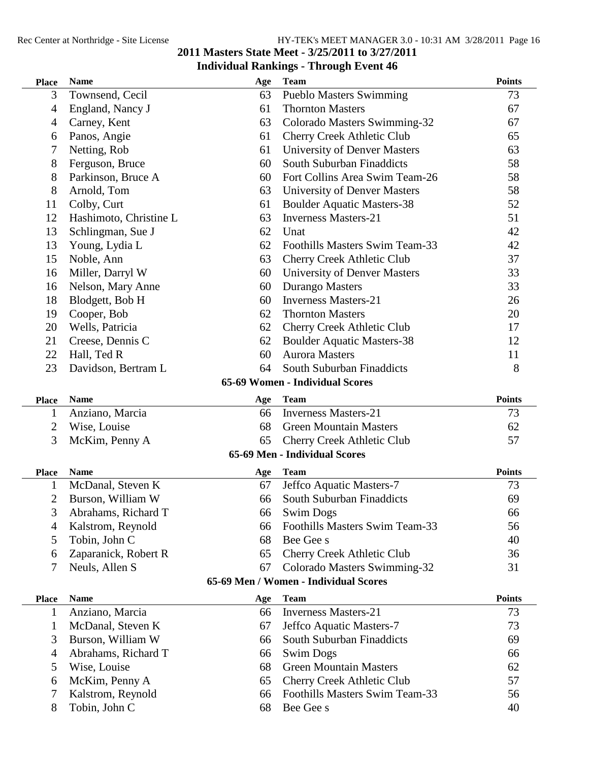| <b>Place</b>                 | <b>Name</b>                              | Age       | <b>Team</b>                                                           | <b>Points</b> |
|------------------------------|------------------------------------------|-----------|-----------------------------------------------------------------------|---------------|
| 3                            | Townsend, Cecil                          | 63        | <b>Pueblo Masters Swimming</b>                                        | 73            |
| 4                            | England, Nancy J                         | 61        | <b>Thornton Masters</b>                                               | 67            |
| 4                            | Carney, Kent                             | 63        | Colorado Masters Swimming-32                                          | 67            |
| 6                            | Panos, Angie                             | 61        | <b>Cherry Creek Athletic Club</b>                                     | 65            |
| 7                            | Netting, Rob                             | 61        | University of Denver Masters                                          | 63            |
| 8                            | Ferguson, Bruce                          | 60        | South Suburban Finaddicts                                             | 58            |
| 8                            | Parkinson, Bruce A                       | 60        | Fort Collins Area Swim Team-26                                        | 58            |
| 8                            | Arnold, Tom                              | 63        | <b>University of Denver Masters</b>                                   | 58            |
| 11                           | Colby, Curt                              | 61        | <b>Boulder Aquatic Masters-38</b>                                     | 52            |
| 12                           | Hashimoto, Christine L                   | 63        | <b>Inverness Masters-21</b>                                           | 51            |
| 13                           | Schlingman, Sue J                        | 62        | Unat                                                                  | 42            |
| 13                           | Young, Lydia L                           | 62        | Foothills Masters Swim Team-33                                        | 42            |
| 15                           | Noble, Ann                               | 63        | <b>Cherry Creek Athletic Club</b>                                     | 37            |
| 16                           | Miller, Darryl W                         | 60        | <b>University of Denver Masters</b>                                   | 33            |
| 16                           | Nelson, Mary Anne                        | 60        | Durango Masters                                                       | 33            |
| 18                           | Blodgett, Bob H                          | 60        | <b>Inverness Masters-21</b>                                           | 26            |
| 19                           | Cooper, Bob                              | 62        | <b>Thornton Masters</b>                                               | 20            |
| 20                           | Wells, Patricia                          | 62        | <b>Cherry Creek Athletic Club</b>                                     | 17            |
| 21                           | Creese, Dennis C                         | 62        | <b>Boulder Aquatic Masters-38</b>                                     | 12            |
| 22                           | Hall, Ted R                              | 60        | <b>Aurora Masters</b>                                                 | 11            |
| 23                           | Davidson, Bertram L                      | 64        | South Suburban Finaddicts                                             | 8             |
|                              |                                          |           | 65-69 Women - Individual Scores                                       |               |
| <b>Place</b>                 | <b>Name</b>                              | Age       | <b>Team</b>                                                           | <b>Points</b> |
| 1                            | Anziano, Marcia                          | 66        | <b>Inverness Masters-21</b>                                           | 73            |
| $\overline{c}$               | Wise, Louise                             | 68        | <b>Green Mountain Masters</b>                                         | 62            |
| 3                            | McKim, Penny A                           | 65        | Cherry Creek Athletic Club                                            | 57            |
|                              |                                          |           | 65-69 Men - Individual Scores                                         |               |
| <b>Place</b>                 | <b>Name</b>                              | Age       | <b>Team</b>                                                           | <b>Points</b> |
| $\mathbf{1}$                 | McDanal, Steven K                        | 67        | Jeffco Aquatic Masters-7                                              | 73            |
| $\overline{2}$               |                                          |           |                                                                       | 69            |
| 3                            |                                          | 66        | South Suburban Finaddicts                                             |               |
|                              | Burson, William W                        | 66        | <b>Swim Dogs</b>                                                      | 66            |
| 4                            | Abrahams, Richard T<br>Kalstrom, Reynold | 66        | Foothills Masters Swim Team-33                                        | 56            |
| 5                            | Tobin, John C                            | 68        | Bee Gee s                                                             | 40            |
| 6                            | Zaparanick, Robert R                     | 65        | Cherry Creek Athletic Club                                            | 36            |
| 7                            | Neuls, Allen S                           | 67        |                                                                       | 31            |
|                              |                                          |           | Colorado Masters Swimming-32<br>65-69 Men / Women - Individual Scores |               |
|                              | <b>Name</b>                              |           |                                                                       | <b>Points</b> |
| <b>Place</b><br>$\mathbf{1}$ | Anziano, Marcia                          | Age<br>66 | <b>Team</b><br><b>Inverness Masters-21</b>                            | 73            |
| $\mathbf{1}$                 | McDanal, Steven K                        | 67        | Jeffco Aquatic Masters-7                                              | 73            |
| 3                            |                                          | 66        | South Suburban Finaddicts                                             | 69            |
| 4                            | Burson, William W<br>Abrahams, Richard T | 66        | <b>Swim Dogs</b>                                                      | 66            |
| 5                            | Wise, Louise                             | 68        | <b>Green Mountain Masters</b>                                         | 62            |
| 6                            | McKim, Penny A                           | 65        | <b>Cherry Creek Athletic Club</b>                                     | 57            |
| 7                            | Kalstrom, Reynold                        | 66        | Foothills Masters Swim Team-33                                        | 56            |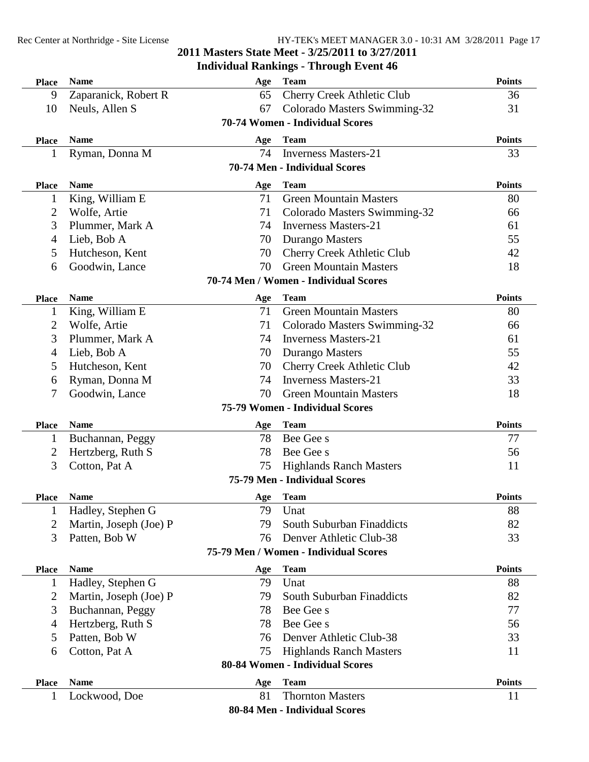## **Individual Rankings - Through Event 46**

| <b>Place</b> | <b>Name</b>            | Age       | <b>Team</b>                            | <b>Points</b> |
|--------------|------------------------|-----------|----------------------------------------|---------------|
| 9            | Zaparanick, Robert R   | 65        | <b>Cherry Creek Athletic Club</b>      | 36            |
| 10           | Neuls, Allen S         | 67        | Colorado Masters Swimming-32           | 31            |
|              |                        |           | 70-74 Women - Individual Scores        |               |
| <b>Place</b> | <b>Name</b>            | Age       | <b>Team</b>                            | <b>Points</b> |
| 1            | Ryman, Donna M         | 74        | <b>Inverness Masters-21</b>            | 33            |
|              |                        |           | 70-74 Men - Individual Scores          |               |
| <b>Place</b> | <b>Name</b>            | Age       | <b>Team</b>                            | <b>Points</b> |
| $\mathbf{1}$ | King, William E        | 71        | <b>Green Mountain Masters</b>          | 80            |
| 2            | Wolfe, Artie           | 71        | Colorado Masters Swimming-32           | 66            |
| 3            | Plummer, Mark A        | 74        | <b>Inverness Masters-21</b>            | 61            |
| 4            | Lieb, Bob A            | 70        | Durango Masters                        | 55            |
| 5            | Hutcheson, Kent        | 70        | <b>Cherry Creek Athletic Club</b>      | 42            |
| 6            | Goodwin, Lance         | 70        | <b>Green Mountain Masters</b>          | 18            |
|              |                        |           | 70-74 Men / Women - Individual Scores  |               |
| <b>Place</b> | <b>Name</b>            | Age       | <b>Team</b>                            | <b>Points</b> |
| 1            | King, William E        | 71        | <b>Green Mountain Masters</b>          | 80            |
| 2            | Wolfe, Artie           | 71        | Colorado Masters Swimming-32           | 66            |
| 3            | Plummer, Mark A        | 74        | <b>Inverness Masters-21</b>            | 61            |
| 4            | Lieb, Bob A            | 70        | Durango Masters                        | 55            |
| 5            | Hutcheson, Kent        | 70        | <b>Cherry Creek Athletic Club</b>      | 42            |
| 6            | Ryman, Donna M         | 74        | <b>Inverness Masters-21</b>            | 33            |
| 7            | Goodwin, Lance         | 70        | <b>Green Mountain Masters</b>          | 18            |
|              |                        |           | 75-79 Women - Individual Scores        |               |
| <b>Place</b> | <b>Name</b>            | Age       | <b>Team</b>                            | <b>Points</b> |
| $\mathbf{1}$ | Buchannan, Peggy       | 78        | Bee Gee s                              | 77            |
| 2            | Hertzberg, Ruth S      | 78        | Bee Gee s                              | 56            |
| 3            | Cotton, Pat A          | 75        | <b>Highlands Ranch Masters</b>         | 11            |
|              |                        |           | 75-79 Men - Individual Scores          |               |
| <b>Place</b> | <b>Name</b>            | Age       | <b>Team</b>                            | <b>Points</b> |
| 1            | Hadley, Stephen G      | 79        | Unat                                   | 88            |
| 2            | Martin, Joseph (Joe) P | 79        | South Suburban Finaddicts              | 82            |
| 3            | Patten, Bob W          | 76        | Denver Athletic Club-38                | 33            |
|              |                        |           | 75-79 Men / Women - Individual Scores  |               |
| <b>Place</b> | <b>Name</b>            | Age       | <b>Team</b>                            | <b>Points</b> |
| 1            | Hadley, Stephen G      | 79        | Unat                                   | 88            |
| 2            | Martin, Joseph (Joe) P | 79        | South Suburban Finaddicts              | 82            |
| 3            | Buchannan, Peggy       | 78        | Bee Gee s                              | 77            |
| 4            | Hertzberg, Ruth S      | 78        | Bee Gee s                              | 56            |
| 5            | Patten, Bob W          | 76        | Denver Athletic Club-38                | 33            |
| 6            | Cotton, Pat A          | 75        | <b>Highlands Ranch Masters</b>         | 11            |
|              |                        |           | 80-84 Women - Individual Scores        |               |
|              | <b>Name</b>            |           |                                        | <b>Points</b> |
| <b>Place</b> |                        | Age<br>81 | <b>Team</b><br><b>Thornton Masters</b> | 11            |
|              | Lockwood, Doe          |           |                                        |               |
|              |                        |           | 80-84 Men - Individual Scores          |               |